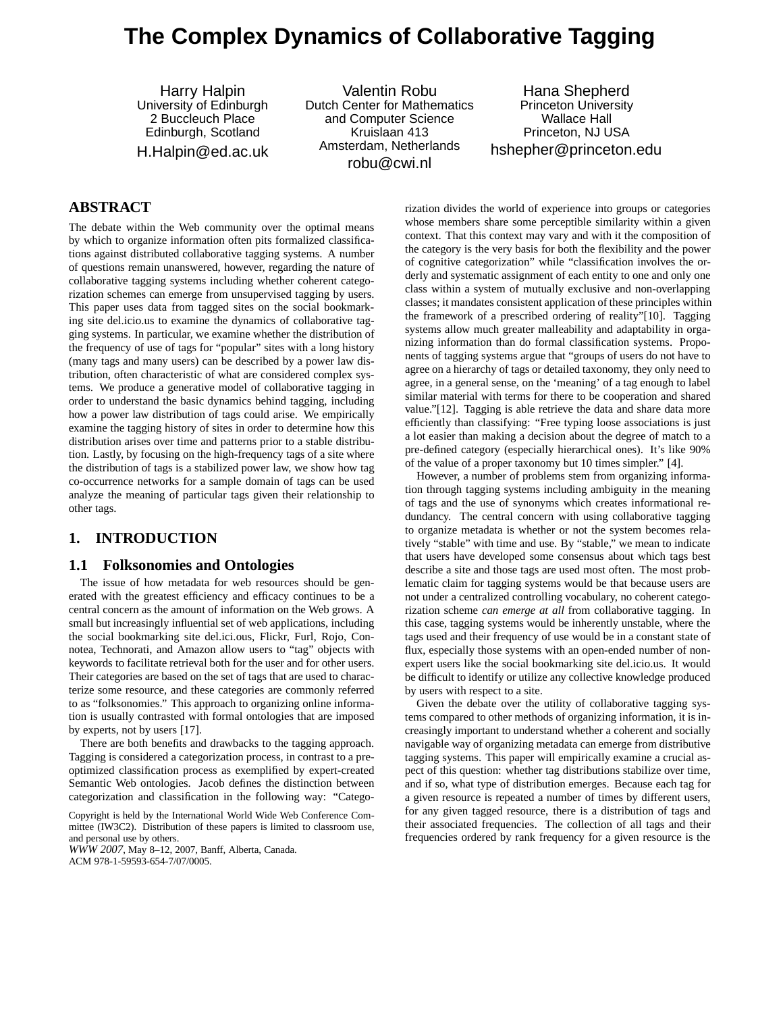# **The Complex Dynamics of Collaborative Tagging**

Harry Halpin University of Edinburgh 2 Buccleuch Place Edinburgh, Scotland

H.Halpin@ed.ac.uk

Valentin Robu Dutch Center for Mathematics and Computer Science Kruislaan 413 Amsterdam, Netherlands robu@cwi.nl

Hana Shepherd Princeton University Wallace Hall Princeton, NJ USA hshepher@princeton.edu

## **ABSTRACT**

The debate within the Web community over the optimal means by which to organize information often pits formalized classifications against distributed collaborative tagging systems. A number of questions remain unanswered, however, regarding the nature of collaborative tagging systems including whether coherent categorization schemes can emerge from unsupervised tagging by users. This paper uses data from tagged sites on the social bookmarking site del.icio.us to examine the dynamics of collaborative tagging systems. In particular, we examine whether the distribution of the frequency of use of tags for "popular" sites with a long history (many tags and many users) can be described by a power law distribution, often characteristic of what are considered complex systems. We produce a generative model of collaborative tagging in order to understand the basic dynamics behind tagging, including how a power law distribution of tags could arise. We empirically examine the tagging history of sites in order to determine how this distribution arises over time and patterns prior to a stable distribution. Lastly, by focusing on the high-frequency tags of a site where the distribution of tags is a stabilized power law, we show how tag co-occurrence networks for a sample domain of tags can be used analyze the meaning of particular tags given their relationship to other tags.

## **1. INTRODUCTION**

#### **1.1 Folksonomies and Ontologies**

The issue of how metadata for web resources should be generated with the greatest efficiency and efficacy continues to be a central concern as the amount of information on the Web grows. A small but increasingly influential set of web applications, including the social bookmarking site del.ici.ous, Flickr, Furl, Rojo, Connotea, Technorati, and Amazon allow users to "tag" objects with keywords to facilitate retrieval both for the user and for other users. Their categories are based on the set of tags that are used to characterize some resource, and these categories are commonly referred to as "folksonomies." This approach to organizing online information is usually contrasted with formal ontologies that are imposed by experts, not by users [17].

There are both benefits and drawbacks to the tagging approach. Tagging is considered a categorization process, in contrast to a preoptimized classification process as exemplified by expert-created Semantic Web ontologies. Jacob defines the distinction between categorization and classification in the following way: "Catego-

*WWW 2007*, May 8–12, 2007, Banff, Alberta, Canada. ACM 978-1-59593-654-7/07/0005.

rization divides the world of experience into groups or categories whose members share some perceptible similarity within a given context. That this context may vary and with it the composition of the category is the very basis for both the flexibility and the power of cognitive categorization" while "classification involves the orderly and systematic assignment of each entity to one and only one class within a system of mutually exclusive and non-overlapping classes; it mandates consistent application of these principles within the framework of a prescribed ordering of reality"[10]. Tagging systems allow much greater malleability and adaptability in organizing information than do formal classification systems. Proponents of tagging systems argue that "groups of users do not have to agree on a hierarchy of tags or detailed taxonomy, they only need to agree, in a general sense, on the 'meaning' of a tag enough to label similar material with terms for there to be cooperation and shared value."[12]. Tagging is able retrieve the data and share data more efficiently than classifying: "Free typing loose associations is just a lot easier than making a decision about the degree of match to a pre-defined category (especially hierarchical ones). It's like 90% of the value of a proper taxonomy but 10 times simpler." [4].

However, a number of problems stem from organizing information through tagging systems including ambiguity in the meaning of tags and the use of synonyms which creates informational redundancy. The central concern with using collaborative tagging to organize metadata is whether or not the system becomes relatively "stable" with time and use. By "stable," we mean to indicate that users have developed some consensus about which tags best describe a site and those tags are used most often. The most problematic claim for tagging systems would be that because users are not under a centralized controlling vocabulary, no coherent categorization scheme *can emerge at all* from collaborative tagging. In this case, tagging systems would be inherently unstable, where the tags used and their frequency of use would be in a constant state of flux, especially those systems with an open-ended number of nonexpert users like the social bookmarking site del.icio.us. It would be difficult to identify or utilize any collective knowledge produced by users with respect to a site.

Given the debate over the utility of collaborative tagging systems compared to other methods of organizing information, it is increasingly important to understand whether a coherent and socially navigable way of organizing metadata can emerge from distributive tagging systems. This paper will empirically examine a crucial aspect of this question: whether tag distributions stabilize over time, and if so, what type of distribution emerges. Because each tag for a given resource is repeated a number of times by different users, for any given tagged resource, there is a distribution of tags and their associated frequencies. The collection of all tags and their frequencies ordered by rank frequency for a given resource is the

Copyright is held by the International World Wide Web Conference Committee (IW3C2). Distribution of these papers is limited to classroom use, and personal use by others.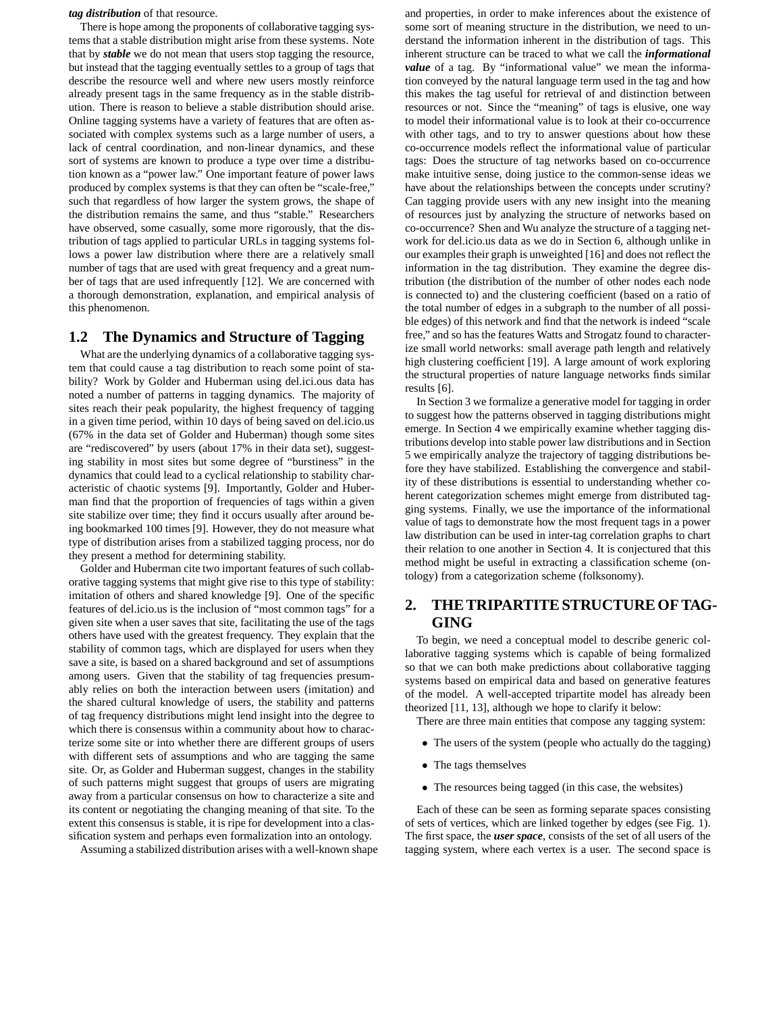#### *tag distribution* of that resource.

There is hope among the proponents of collaborative tagging systems that a stable distribution might arise from these systems. Note that by *stable* we do not mean that users stop tagging the resource, but instead that the tagging eventually settles to a group of tags that describe the resource well and where new users mostly reinforce already present tags in the same frequency as in the stable distribution. There is reason to believe a stable distribution should arise. Online tagging systems have a variety of features that are often associated with complex systems such as a large number of users, a lack of central coordination, and non-linear dynamics, and these sort of systems are known to produce a type over time a distribution known as a "power law." One important feature of power laws produced by complex systems is that they can often be "scale-free," such that regardless of how larger the system grows, the shape of the distribution remains the same, and thus "stable." Researchers have observed, some casually, some more rigorously, that the distribution of tags applied to particular URLs in tagging systems follows a power law distribution where there are a relatively small number of tags that are used with great frequency and a great number of tags that are used infrequently [12]. We are concerned with a thorough demonstration, explanation, and empirical analysis of this phenomenon.

## **1.2 The Dynamics and Structure of Tagging**

What are the underlying dynamics of a collaborative tagging system that could cause a tag distribution to reach some point of stability? Work by Golder and Huberman using del.ici.ous data has noted a number of patterns in tagging dynamics. The majority of sites reach their peak popularity, the highest frequency of tagging in a given time period, within 10 days of being saved on del.icio.us (67% in the data set of Golder and Huberman) though some sites are "rediscovered" by users (about 17% in their data set), suggesting stability in most sites but some degree of "burstiness" in the dynamics that could lead to a cyclical relationship to stability characteristic of chaotic systems [9]. Importantly, Golder and Huberman find that the proportion of frequencies of tags within a given site stabilize over time; they find it occurs usually after around being bookmarked 100 times [9]. However, they do not measure what type of distribution arises from a stabilized tagging process, nor do they present a method for determining stability.

Golder and Huberman cite two important features of such collaborative tagging systems that might give rise to this type of stability: imitation of others and shared knowledge [9]. One of the specific features of del.icio.us is the inclusion of "most common tags" for a given site when a user saves that site, facilitating the use of the tags others have used with the greatest frequency. They explain that the stability of common tags, which are displayed for users when they save a site, is based on a shared background and set of assumptions among users. Given that the stability of tag frequencies presumably relies on both the interaction between users (imitation) and the shared cultural knowledge of users, the stability and patterns of tag frequency distributions might lend insight into the degree to which there is consensus within a community about how to characterize some site or into whether there are different groups of users with different sets of assumptions and who are tagging the same site. Or, as Golder and Huberman suggest, changes in the stability of such patterns might suggest that groups of users are migrating away from a particular consensus on how to characterize a site and its content or negotiating the changing meaning of that site. To the extent this consensus is stable, it is ripe for development into a classification system and perhaps even formalization into an ontology.

Assuming a stabilized distribution arises with a well-known shape

and properties, in order to make inferences about the existence of some sort of meaning structure in the distribution, we need to understand the information inherent in the distribution of tags. This inherent structure can be traced to what we call the *informational value* of a tag. By "informational value" we mean the information conveyed by the natural language term used in the tag and how this makes the tag useful for retrieval of and distinction between resources or not. Since the "meaning" of tags is elusive, one way to model their informational value is to look at their co-occurrence with other tags, and to try to answer questions about how these co-occurrence models reflect the informational value of particular tags: Does the structure of tag networks based on co-occurrence make intuitive sense, doing justice to the common-sense ideas we have about the relationships between the concepts under scrutiny? Can tagging provide users with any new insight into the meaning of resources just by analyzing the structure of networks based on co-occurrence? Shen and Wu analyze the structure of a tagging network for del.icio.us data as we do in Section 6, although unlike in our examples their graph is unweighted [16] and does not reflect the information in the tag distribution. They examine the degree distribution (the distribution of the number of other nodes each node is connected to) and the clustering coefficient (based on a ratio of the total number of edges in a subgraph to the number of all possible edges) of this network and find that the network is indeed "scale free," and so has the features Watts and Strogatz found to characterize small world networks: small average path length and relatively high clustering coefficient [19]. A large amount of work exploring the structural properties of nature language networks finds similar results [6].

In Section 3 we formalize a generative model for tagging in order to suggest how the patterns observed in tagging distributions might emerge. In Section 4 we empirically examine whether tagging distributions develop into stable power law distributions and in Section 5 we empirically analyze the trajectory of tagging distributions before they have stabilized. Establishing the convergence and stability of these distributions is essential to understanding whether coherent categorization schemes might emerge from distributed tagging systems. Finally, we use the importance of the informational value of tags to demonstrate how the most frequent tags in a power law distribution can be used in inter-tag correlation graphs to chart their relation to one another in Section 4. It is conjectured that this method might be useful in extracting a classification scheme (ontology) from a categorization scheme (folksonomy).

## **2. THE TRIPARTITE STRUCTURE OF TAG-GING**

To begin, we need a conceptual model to describe generic collaborative tagging systems which is capable of being formalized so that we can both make predictions about collaborative tagging systems based on empirical data and based on generative features of the model. A well-accepted tripartite model has already been theorized [11, 13], although we hope to clarify it below:

There are three main entities that compose any tagging system:

- The users of the system (people who actually do the tagging)
- The tags themselves
- The resources being tagged (in this case, the websites)

Each of these can be seen as forming separate spaces consisting of sets of vertices, which are linked together by edges (see Fig. 1). The first space, the *user space*, consists of the set of all users of the tagging system, where each vertex is a user. The second space is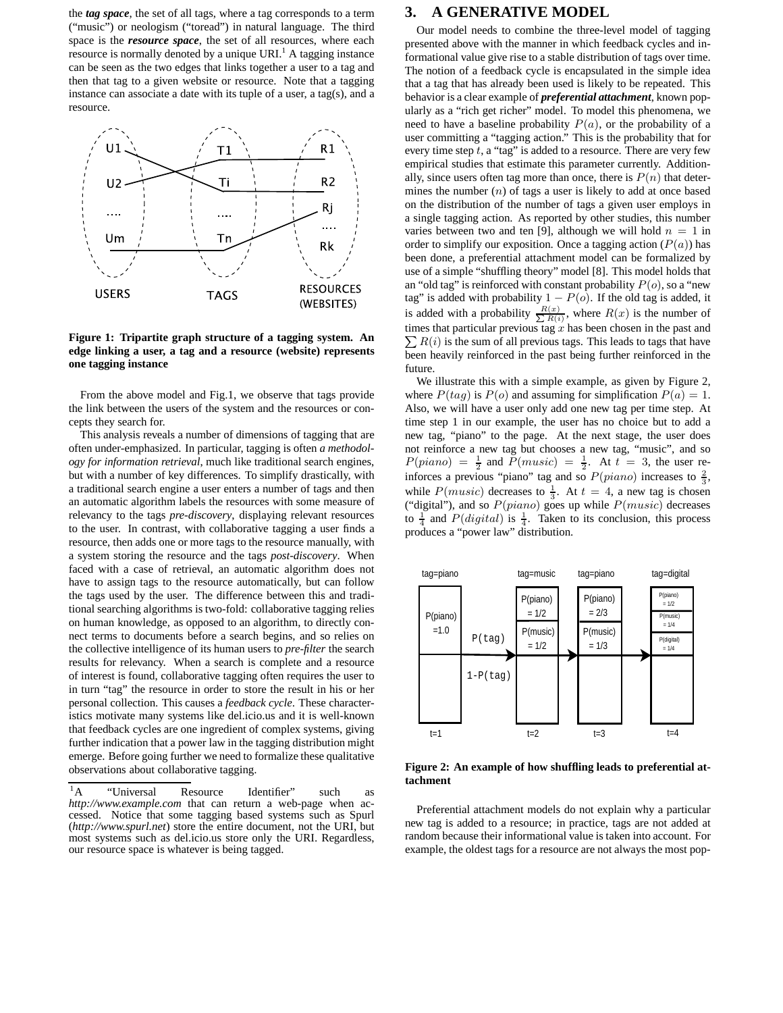the *tag space*, the set of all tags, where a tag corresponds to a term ("music") or neologism ("toread") in natural language. The third space is the *resource space*, the set of all resources, where each resource is normally denoted by a unique URI.<sup>1</sup> A tagging instance can be seen as the two edges that links together a user to a tag and then that tag to a given website or resource. Note that a tagging instance can associate a date with its tuple of a user, a tag(s), and a resource.



**Figure 1: Tripartite graph structure of a tagging system. An edge linking a user, a tag and a resource (website) represents one tagging instance**

From the above model and Fig.1, we observe that tags provide the link between the users of the system and the resources or concepts they search for.

This analysis reveals a number of dimensions of tagging that are often under-emphasized. In particular, tagging is often *a methodology for information retrieval*, much like traditional search engines, but with a number of key differences. To simplify drastically, with a traditional search engine a user enters a number of tags and then an automatic algorithm labels the resources with some measure of relevancy to the tags *pre-discovery*, displaying relevant resources to the user. In contrast, with collaborative tagging a user finds a resource, then adds one or more tags to the resource manually, with a system storing the resource and the tags *post-discovery*. When faced with a case of retrieval, an automatic algorithm does not have to assign tags to the resource automatically, but can follow the tags used by the user. The difference between this and traditional searching algorithms is two-fold: collaborative tagging relies on human knowledge, as opposed to an algorithm, to directly connect terms to documents before a search begins, and so relies on the collective intelligence of its human users to *pre-filter* the search results for relevancy. When a search is complete and a resource of interest is found, collaborative tagging often requires the user to in turn "tag" the resource in order to store the result in his or her personal collection. This causes a *feedback cycle*. These characteristics motivate many systems like del.icio.us and it is well-known that feedback cycles are one ingredient of complex systems, giving further indication that a power law in the tagging distribution might emerge. Before going further we need to formalize these qualitative observations about collaborative tagging.

#### **3. A GENERATIVE MODEL**

Our model needs to combine the three-level model of tagging presented above with the manner in which feedback cycles and informational value give rise to a stable distribution of tags over time. The notion of a feedback cycle is encapsulated in the simple idea that a tag that has already been used is likely to be repeated. This behavior is a clear example of *preferential attachment*, known popularly as a "rich get richer" model. To model this phenomena, we need to have a baseline probability  $P(a)$ , or the probability of a user committing a "tagging action." This is the probability that for every time step  $t$ , a "tag" is added to a resource. There are very few empirical studies that estimate this parameter currently. Additionally, since users often tag more than once, there is  $P(n)$  that determines the number  $(n)$  of tags a user is likely to add at once based on the distribution of the number of tags a given user employs in a single tagging action. As reported by other studies, this number varies between two and ten [9], although we will hold  $n = 1$  in order to simplify our exposition. Once a tagging action  $(P(a))$  has been done, a preferential attachment model can be formalized by use of a simple "shuffling theory" model [8]. This model holds that an "old tag" is reinforced with constant probability  $P(o)$ , so a "new tag" is added with probability  $1 - P(o)$ . If the old tag is added, it is added with a probability  $\frac{R(x)}{\sum R(i)}$ , where  $R(x)$  is the number of times that particular previous tag  $x$  has been chosen in the past and  $\sum R(i)$  is the sum of all previous tags. This leads to tags that have been heavily reinforced in the past being further reinforced in the future.

We illustrate this with a simple example, as given by Figure 2, where  $P(tag)$  is  $P(o)$  and assuming for simplification  $P(a) = 1$ . Also, we will have a user only add one new tag per time step. At time step 1 in our example, the user has no choice but to add a new tag, "piano" to the page. At the next stage, the user does not reinforce a new tag but chooses a new tag, "music", and so  $P(piano) = \frac{1}{2}$  and  $P(music) = \frac{1}{2}$ . At  $t = 3$ , the user reinforces a previous "piano" tag and so  $P(piano)$  increases to  $\frac{2}{3}$ , while  $P(music)$  decreases to  $\frac{1}{3}$ . At  $t = 4$ , a new tag is chosen ("digital"), and so  $P(piano)$  goes up while  $P(music)$  decreases to  $\frac{1}{4}$  and  $P(digital)$  is  $\frac{1}{4}$ . Taken to its conclusion, this process produces a "power law" distribution.



**Figure 2: An example of how shuffling leads to preferential attachment**

Preferential attachment models do not explain why a particular new tag is added to a resource; in practice, tags are not added at random because their informational value is taken into account. For example, the oldest tags for a resource are not always the most pop-

<sup>&</sup>lt;sup>1</sup>A "Universal Resource Identifier" such as *http://www.example.com* that can return a web-page when accessed. Notice that some tagging based systems such as Spurl (*http://www.spurl.net*) store the entire document, not the URI, but most systems such as del.icio.us store only the URI. Regardless, our resource space is whatever is being tagged.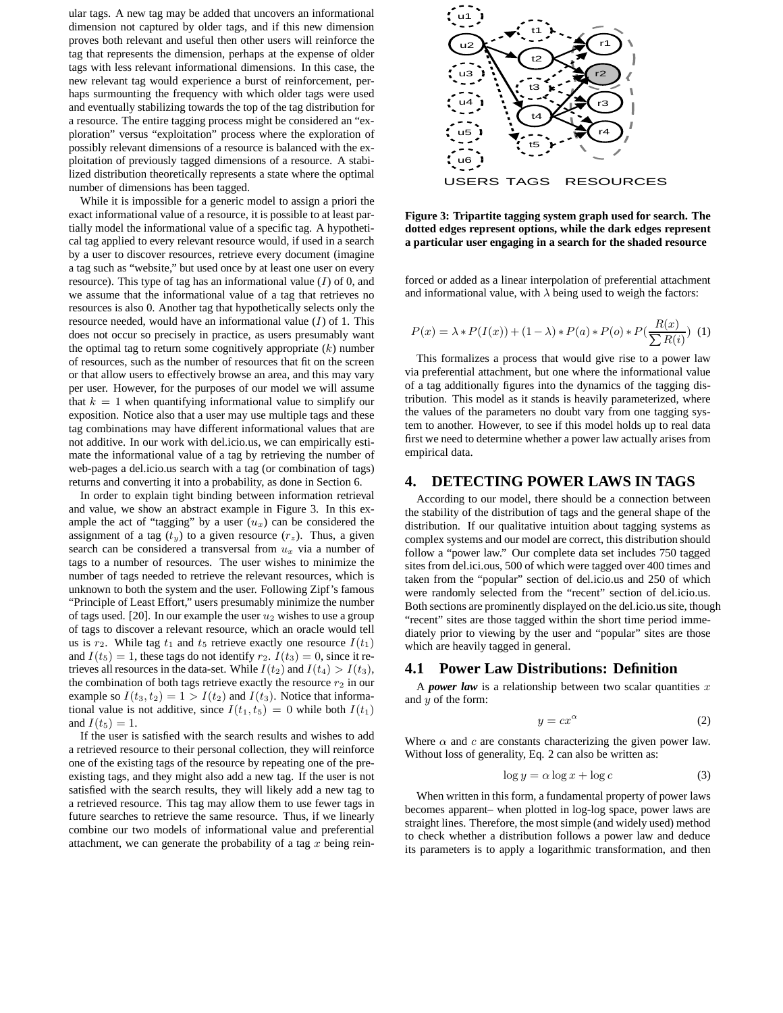ular tags. A new tag may be added that uncovers an informational dimension not captured by older tags, and if this new dimension proves both relevant and useful then other users will reinforce the tag that represents the dimension, perhaps at the expense of older tags with less relevant informational dimensions. In this case, the new relevant tag would experience a burst of reinforcement, perhaps surmounting the frequency with which older tags were used and eventually stabilizing towards the top of the tag distribution for a resource. The entire tagging process might be considered an "exploration" versus "exploitation" process where the exploration of possibly relevant dimensions of a resource is balanced with the exploitation of previously tagged dimensions of a resource. A stabilized distribution theoretically represents a state where the optimal number of dimensions has been tagged.

While it is impossible for a generic model to assign a priori the exact informational value of a resource, it is possible to at least partially model the informational value of a specific tag. A hypothetical tag applied to every relevant resource would, if used in a search by a user to discover resources, retrieve every document (imagine a tag such as "website," but used once by at least one user on every resource). This type of tag has an informational value  $(I)$  of 0, and we assume that the informational value of a tag that retrieves no resources is also 0. Another tag that hypothetically selects only the resource needed, would have an informational value  $(I)$  of 1. This does not occur so precisely in practice, as users presumably want the optimal tag to return some cognitively appropriate  $(k)$  number of resources, such as the number of resources that fit on the screen or that allow users to effectively browse an area, and this may vary per user. However, for the purposes of our model we will assume that  $k = 1$  when quantifying informational value to simplify our exposition. Notice also that a user may use multiple tags and these tag combinations may have different informational values that are not additive. In our work with del.icio.us, we can empirically estimate the informational value of a tag by retrieving the number of web-pages a del.icio.us search with a tag (or combination of tags) returns and converting it into a probability, as done in Section 6.

In order to explain tight binding between information retrieval and value, we show an abstract example in Figure 3. In this example the act of "tagging" by a user  $(u_x)$  can be considered the assignment of a tag  $(t_y)$  to a given resource  $(r_z)$ . Thus, a given search can be considered a transversal from  $u_x$  via a number of tags to a number of resources. The user wishes to minimize the number of tags needed to retrieve the relevant resources, which is unknown to both the system and the user. Following Zipf's famous "Principle of Least Effort," users presumably minimize the number of tags used. [20]. In our example the user  $u_2$  wishes to use a group of tags to discover a relevant resource, which an oracle would tell us is  $r_2$ . While tag  $t_1$  and  $t_5$  retrieve exactly one resource  $I(t_1)$ and  $I(t_5) = 1$ , these tags do not identify  $r_2$ .  $I(t_3) = 0$ , since it retrieves all resources in the data-set. While  $I(t_2)$  and  $I(t_4) > I(t_3)$ , the combination of both tags retrieve exactly the resource  $r_2$  in our example so  $I(t_3, t_2) = 1 > I(t_2)$  and  $I(t_3)$ . Notice that informational value is not additive, since  $I(t_1, t_5) = 0$  while both  $I(t_1)$ and  $I(t_5) = 1$ .

If the user is satisfied with the search results and wishes to add a retrieved resource to their personal collection, they will reinforce one of the existing tags of the resource by repeating one of the preexisting tags, and they might also add a new tag. If the user is not satisfied with the search results, they will likely add a new tag to a retrieved resource. This tag may allow them to use fewer tags in future searches to retrieve the same resource. Thus, if we linearly combine our two models of informational value and preferential attachment, we can generate the probability of a tag  $x$  being rein-



**Figure 3: Tripartite tagging system graph used for search. The dotted edges represent options, while the dark edges represent a particular user engaging in a search for the shaded resource**

forced or added as a linear interpolation of preferential attachment and informational value, with  $\lambda$  being used to weigh the factors:

$$
P(x) = \lambda * P(I(x)) + (1 - \lambda) * P(a) * P(o) * P(\frac{R(x)}{\sum R(i)}) \tag{1}
$$

This formalizes a process that would give rise to a power law via preferential attachment, but one where the informational value of a tag additionally figures into the dynamics of the tagging distribution. This model as it stands is heavily parameterized, where the values of the parameters no doubt vary from one tagging system to another. However, to see if this model holds up to real data first we need to determine whether a power law actually arises from empirical data.

#### **4. DETECTING POWER LAWS IN TAGS**

According to our model, there should be a connection between the stability of the distribution of tags and the general shape of the distribution. If our qualitative intuition about tagging systems as complex systems and our model are correct, this distribution should follow a "power law." Our complete data set includes 750 tagged sites from del.ici.ous, 500 of which were tagged over 400 times and taken from the "popular" section of del.icio.us and 250 of which were randomly selected from the "recent" section of del.icio.us. Both sections are prominently displayed on the del.icio.us site, though "recent" sites are those tagged within the short time period immediately prior to viewing by the user and "popular" sites are those which are heavily tagged in general.

### **4.1 Power Law Distributions: Definition**

A *power law* is a relationship between two scalar quantities  $x$ and  $y$  of the form:

$$
y = cx^{\alpha} \tag{2}
$$

Where  $\alpha$  and  $c$  are constants characterizing the given power law. Without loss of generality, Eq. 2 can also be written as:

$$
\log y = \alpha \log x + \log c \tag{3}
$$

When written in this form, a fundamental property of power laws becomes apparent– when plotted in log-log space, power laws are straight lines. Therefore, the most simple (and widely used) method to check whether a distribution follows a power law and deduce its parameters is to apply a logarithmic transformation, and then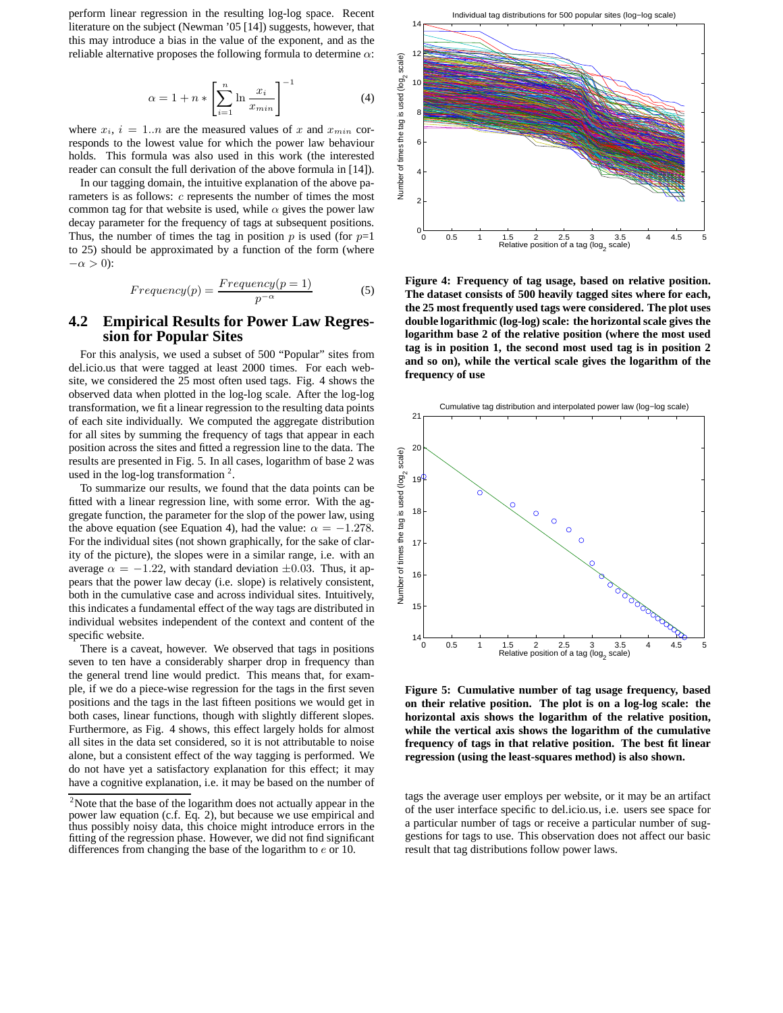perform linear regression in the resulting log-log space. Recent literature on the subject (Newman '05 [14]) suggests, however, that this may introduce a bias in the value of the exponent, and as the reliable alternative proposes the following formula to determine  $\alpha$ :

$$
\alpha = 1 + n * \left[ \sum_{i=1}^{n} \ln \frac{x_i}{x_{min}} \right]^{-1}
$$
 (4)

where  $x_i$ ,  $i = 1..n$  are the measured values of x and  $x_{min}$  corresponds to the lowest value for which the power law behaviour holds. This formula was also used in this work (the interested reader can consult the full derivation of the above formula in [14]).

In our tagging domain, the intuitive explanation of the above parameters is as follows:  $c$  represents the number of times the most common tag for that website is used, while  $\alpha$  gives the power law decay parameter for the frequency of tags at subsequent positions. Thus, the number of times the tag in position  $p$  is used (for  $p=1$ ) to 25) should be approximated by a function of the form (where  $-\alpha > 0$ :

$$
Frequency(p) = \frac{Frequency(p=1)}{p^{-\alpha}} \tag{5}
$$

## **4.2 Empirical Results for Power Law Regression for Popular Sites**

For this analysis, we used a subset of 500 "Popular" sites from del.icio.us that were tagged at least 2000 times. For each website, we considered the 25 most often used tags. Fig. 4 shows the observed data when plotted in the log-log scale. After the log-log transformation, we fit a linear regression to the resulting data points of each site individually. We computed the aggregate distribution for all sites by summing the frequency of tags that appear in each position across the sites and fitted a regression line to the data. The results are presented in Fig. 5. In all cases, logarithm of base 2 was used in the log-log transformation<sup>2</sup>.

To summarize our results, we found that the data points can be fitted with a linear regression line, with some error. With the aggregate function, the parameter for the slop of the power law, using the above equation (see Equation 4), had the value:  $\alpha = -1.278$ . For the individual sites (not shown graphically, for the sake of clarity of the picture), the slopes were in a similar range, i.e. with an average  $\alpha = -1.22$ , with standard deviation  $\pm 0.03$ . Thus, it appears that the power law decay (i.e. slope) is relatively consistent, both in the cumulative case and across individual sites. Intuitively, this indicates a fundamental effect of the way tags are distributed in individual websites independent of the context and content of the specific website.

There is a caveat, however. We observed that tags in positions seven to ten have a considerably sharper drop in frequency than the general trend line would predict. This means that, for example, if we do a piece-wise regression for the tags in the first seven positions and the tags in the last fifteen positions we would get in both cases, linear functions, though with slightly different slopes. Furthermore, as Fig. 4 shows, this effect largely holds for almost all sites in the data set considered, so it is not attributable to noise alone, but a consistent effect of the way tagging is performed. We do not have yet a satisfactory explanation for this effect; it may have a cognitive explanation, i.e. it may be based on the number of



**Figure 4: Frequency of tag usage, based on relative position. The dataset consists of 500 heavily tagged sites where for each, the 25 most frequently used tags were considered. The plot uses double logarithmic (log-log) scale: the horizontal scale gives the logarithm base 2 of the relative position (where the most used tag is in position 1, the second most used tag is in position 2 and so on), while the vertical scale gives the logarithm of the frequency of use**



**Figure 5: Cumulative number of tag usage frequency, based on their relative position. The plot is on a log-log scale: the horizontal axis shows the logarithm of the relative position, while the vertical axis shows the logarithm of the cumulative frequency of tags in that relative position. The best fit linear regression (using the least-squares method) is also shown.**

tags the average user employs per website, or it may be an artifact of the user interface specific to del.icio.us, i.e. users see space for a particular number of tags or receive a particular number of suggestions for tags to use. This observation does not affect our basic result that tag distributions follow power laws.

<sup>&</sup>lt;sup>2</sup>Note that the base of the logarithm does not actually appear in the power law equation (c.f. Eq. 2), but because we use empirical and thus possibly noisy data, this choice might introduce errors in the fitting of the regression phase. However, we did not find significant differences from changing the base of the logarithm to e or 10.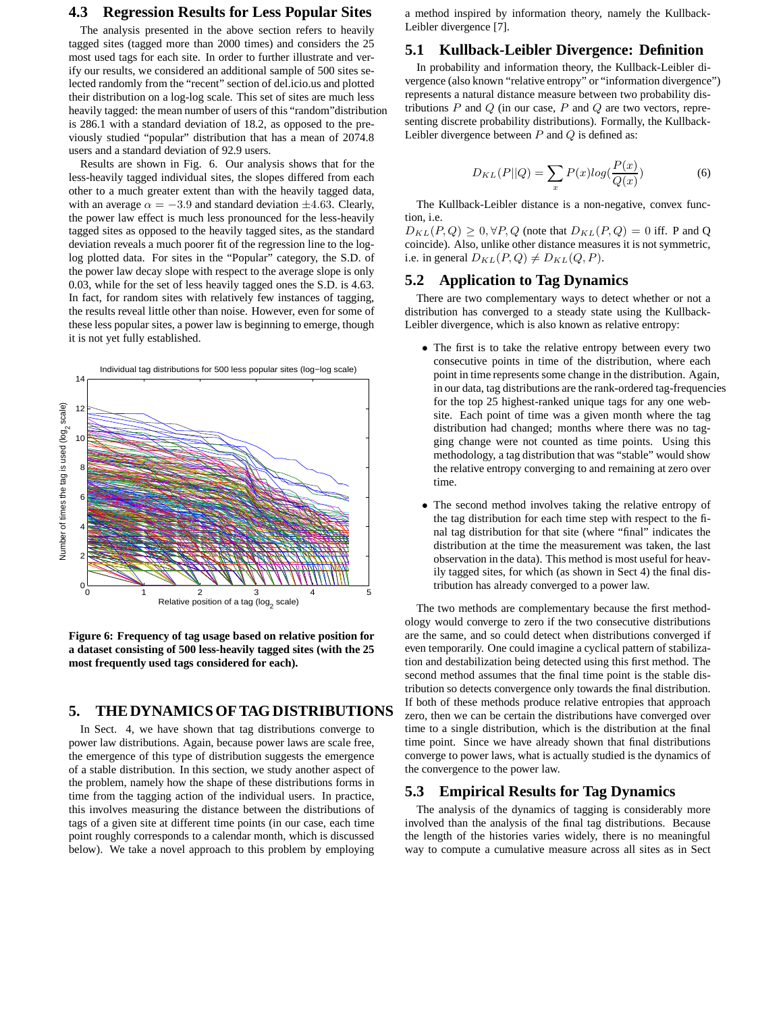#### **4.3 Regression Results for Less Popular Sites**

The analysis presented in the above section refers to heavily tagged sites (tagged more than 2000 times) and considers the 25 most used tags for each site. In order to further illustrate and verify our results, we considered an additional sample of 500 sites selected randomly from the "recent" section of del.icio.us and plotted their distribution on a log-log scale. This set of sites are much less heavily tagged: the mean number of users of this "random"distribution is 286.1 with a standard deviation of 18.2, as opposed to the previously studied "popular" distribution that has a mean of 2074.8 users and a standard deviation of 92.9 users.

Results are shown in Fig. 6. Our analysis shows that for the less-heavily tagged individual sites, the slopes differed from each other to a much greater extent than with the heavily tagged data, with an average  $\alpha = -3.9$  and standard deviation  $\pm 4.63$ . Clearly, the power law effect is much less pronounced for the less-heavily tagged sites as opposed to the heavily tagged sites, as the standard deviation reveals a much poorer fit of the regression line to the loglog plotted data. For sites in the "Popular" category, the S.D. of the power law decay slope with respect to the average slope is only 0.03, while for the set of less heavily tagged ones the S.D. is 4.63. In fact, for random sites with relatively few instances of tagging, the results reveal little other than noise. However, even for some of these less popular sites, a power law is beginning to emerge, though it is not yet fully established.



**Figure 6: Frequency of tag usage based on relative position for a dataset consisting of 500 less-heavily tagged sites (with the 25 most frequently used tags considered for each).**

## **5. THE DYNAMICS OF TAG DISTRIBUTIONS**

In Sect. 4, we have shown that tag distributions converge to power law distributions. Again, because power laws are scale free, the emergence of this type of distribution suggests the emergence of a stable distribution. In this section, we study another aspect of the problem, namely how the shape of these distributions forms in time from the tagging action of the individual users. In practice, this involves measuring the distance between the distributions of tags of a given site at different time points (in our case, each time point roughly corresponds to a calendar month, which is discussed below). We take a novel approach to this problem by employing

a method inspired by information theory, namely the Kullback-Leibler divergence [7].

## **5.1 Kullback-Leibler Divergence: Definition**

In probability and information theory, the Kullback-Leibler divergence (also known "relative entropy" or "information divergence") represents a natural distance measure between two probability distributions  $P$  and  $Q$  (in our case,  $P$  and  $Q$  are two vectors, representing discrete probability distributions). Formally, the Kullback-Leibler divergence between  $P$  and  $Q$  is defined as:

$$
D_{KL}(P||Q) = \sum_{x} P(x)log(\frac{P(x)}{Q(x)})
$$
 (6)

The Kullback-Leibler distance is a non-negative, convex function, i.e.

 $D_{KL}(P,Q) \geq 0, \forall P,Q$  (note that  $D_{KL}(P,Q) = 0$  iff. P and Q coincide). Also, unlike other distance measures it is not symmetric, i.e. in general  $D_{KL}(P,Q) \neq D_{KL}(Q, P)$ .

## **5.2 Application to Tag Dynamics**

There are two complementary ways to detect whether or not a distribution has converged to a steady state using the Kullback-Leibler divergence, which is also known as relative entropy:

- The first is to take the relative entropy between every two consecutive points in time of the distribution, where each point in time represents some change in the distribution. Again, in our data, tag distributions are the rank-ordered tag-frequencies for the top 25 highest-ranked unique tags for any one website. Each point of time was a given month where the tag distribution had changed; months where there was no tagging change were not counted as time points. Using this methodology, a tag distribution that was "stable" would show the relative entropy converging to and remaining at zero over time.
- The second method involves taking the relative entropy of the tag distribution for each time step with respect to the final tag distribution for that site (where "final" indicates the distribution at the time the measurement was taken, the last observation in the data). This method is most useful for heavily tagged sites, for which (as shown in Sect 4) the final distribution has already converged to a power law.

The two methods are complementary because the first methodology would converge to zero if the two consecutive distributions are the same, and so could detect when distributions converged if even temporarily. One could imagine a cyclical pattern of stabilization and destabilization being detected using this first method. The second method assumes that the final time point is the stable distribution so detects convergence only towards the final distribution. If both of these methods produce relative entropies that approach zero, then we can be certain the distributions have converged over time to a single distribution, which is the distribution at the final time point. Since we have already shown that final distributions converge to power laws, what is actually studied is the dynamics of the convergence to the power law.

## **5.3 Empirical Results for Tag Dynamics**

The analysis of the dynamics of tagging is considerably more involved than the analysis of the final tag distributions. Because the length of the histories varies widely, there is no meaningful way to compute a cumulative measure across all sites as in Sect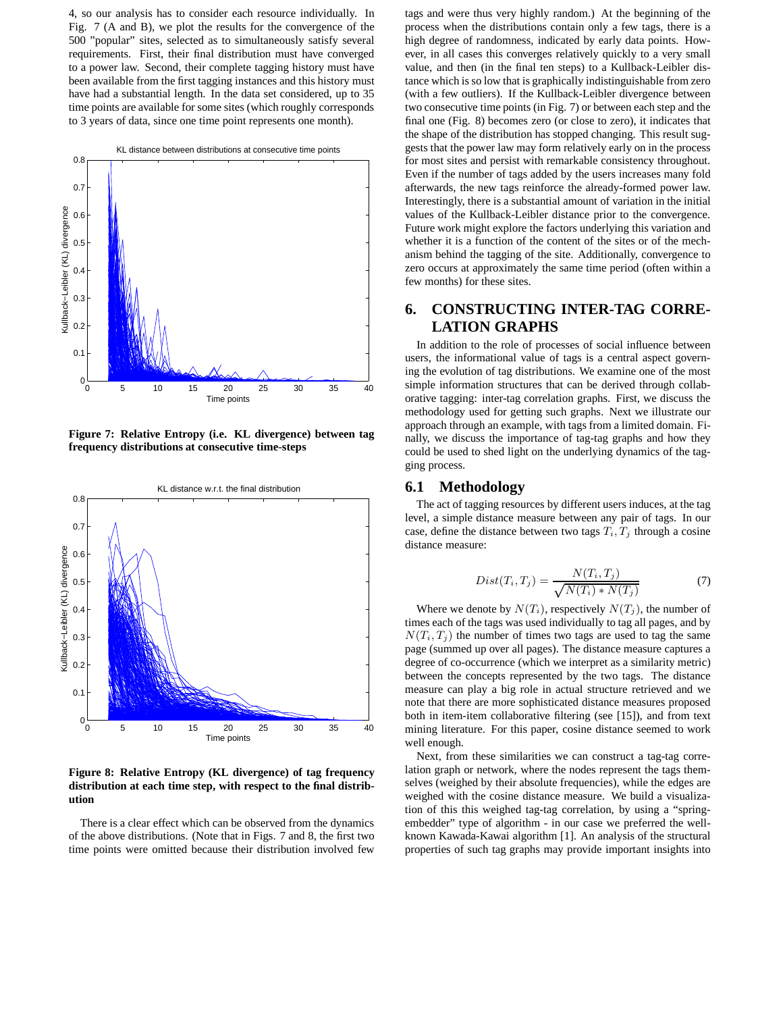4, so our analysis has to consider each resource individually. In Fig. 7 (A and B), we plot the results for the convergence of the 500 "popular" sites, selected as to simultaneously satisfy several requirements. First, their final distribution must have converged to a power law. Second, their complete tagging history must have been available from the first tagging instances and this history must have had a substantial length. In the data set considered, up to 35 time points are available for some sites (which roughly corresponds to 3 years of data, since one time point represents one month).



**Figure 7: Relative Entropy (i.e. KL divergence) between tag frequency distributions at consecutive time-steps**



**Figure 8: Relative Entropy (KL divergence) of tag frequency distribution at each time step, with respect to the final distribution**

There is a clear effect which can be observed from the dynamics of the above distributions. (Note that in Figs. 7 and 8, the first two time points were omitted because their distribution involved few tags and were thus very highly random.) At the beginning of the process when the distributions contain only a few tags, there is a high degree of randomness, indicated by early data points. However, in all cases this converges relatively quickly to a very small value, and then (in the final ten steps) to a Kullback-Leibler distance which is so low that is graphically indistinguishable from zero (with a few outliers). If the Kullback-Leibler divergence between two consecutive time points (in Fig. 7) or between each step and the final one (Fig. 8) becomes zero (or close to zero), it indicates that the shape of the distribution has stopped changing. This result suggests that the power law may form relatively early on in the process for most sites and persist with remarkable consistency throughout. Even if the number of tags added by the users increases many fold afterwards, the new tags reinforce the already-formed power law. Interestingly, there is a substantial amount of variation in the initial values of the Kullback-Leibler distance prior to the convergence. Future work might explore the factors underlying this variation and whether it is a function of the content of the sites or of the mechanism behind the tagging of the site. Additionally, convergence to zero occurs at approximately the same time period (often within a few months) for these sites.

## **6. CONSTRUCTING INTER-TAG CORRE-LATION GRAPHS**

In addition to the role of processes of social influence between users, the informational value of tags is a central aspect governing the evolution of tag distributions. We examine one of the most simple information structures that can be derived through collaborative tagging: inter-tag correlation graphs. First, we discuss the methodology used for getting such graphs. Next we illustrate our approach through an example, with tags from a limited domain. Finally, we discuss the importance of tag-tag graphs and how they could be used to shed light on the underlying dynamics of the tagging process.

#### **6.1 Methodology**

The act of tagging resources by different users induces, at the tag level, a simple distance measure between any pair of tags. In our case, define the distance between two tags  $T_i, T_j$  through a cosine distance measure:

$$
Dist(T_i, T_j) = \frac{N(T_i, T_j)}{\sqrt{N(T_i) * N(T_j)}}
$$
(7)

Where we denote by  $N(T_i)$ , respectively  $N(T_j)$ , the number of times each of the tags was used individually to tag all pages, and by  $N(T_i, T_j)$  the number of times two tags are used to tag the same page (summed up over all pages). The distance measure captures a degree of co-occurrence (which we interpret as a similarity metric) between the concepts represented by the two tags. The distance measure can play a big role in actual structure retrieved and we note that there are more sophisticated distance measures proposed both in item-item collaborative filtering (see [15]), and from text mining literature. For this paper, cosine distance seemed to work well enough.

Next, from these similarities we can construct a tag-tag correlation graph or network, where the nodes represent the tags themselves (weighed by their absolute frequencies), while the edges are weighed with the cosine distance measure. We build a visualization of this this weighed tag-tag correlation, by using a "springembedder" type of algorithm - in our case we preferred the wellknown Kawada-Kawai algorithm [1]. An analysis of the structural properties of such tag graphs may provide important insights into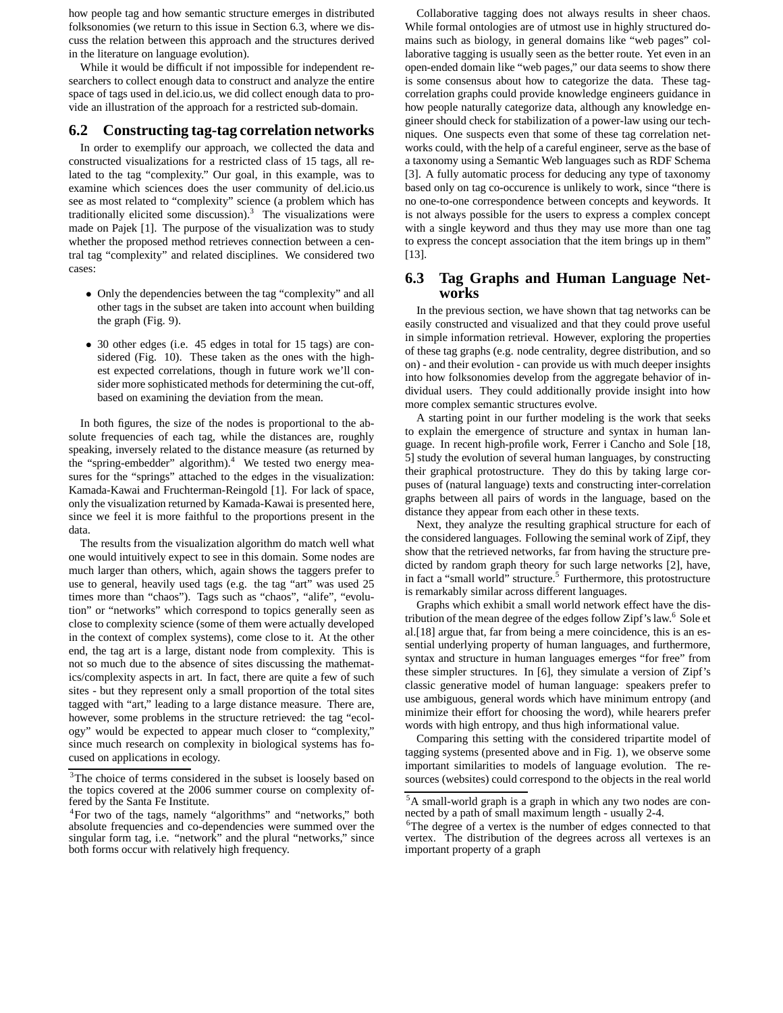how people tag and how semantic structure emerges in distributed folksonomies (we return to this issue in Section 6.3, where we discuss the relation between this approach and the structures derived in the literature on language evolution).

While it would be difficult if not impossible for independent researchers to collect enough data to construct and analyze the entire space of tags used in del.icio.us, we did collect enough data to provide an illustration of the approach for a restricted sub-domain.

#### **6.2 Constructing tag-tag correlation networks**

In order to exemplify our approach, we collected the data and constructed visualizations for a restricted class of 15 tags, all related to the tag "complexity." Our goal, in this example, was to examine which sciences does the user community of del.icio.us see as most related to "complexity" science (a problem which has traditionally elicited some discussion).<sup>3</sup> The visualizations were made on Pajek [1]. The purpose of the visualization was to study whether the proposed method retrieves connection between a central tag "complexity" and related disciplines. We considered two cases:

- Only the dependencies between the tag "complexity" and all other tags in the subset are taken into account when building the graph (Fig. 9).
- 30 other edges (i.e. 45 edges in total for 15 tags) are considered (Fig. 10). These taken as the ones with the highest expected correlations, though in future work we'll consider more sophisticated methods for determining the cut-off, based on examining the deviation from the mean.

In both figures, the size of the nodes is proportional to the absolute frequencies of each tag, while the distances are, roughly speaking, inversely related to the distance measure (as returned by the "spring-embedder" algorithm).<sup>4</sup> We tested two energy measures for the "springs" attached to the edges in the visualization: Kamada-Kawai and Fruchterman-Reingold [1]. For lack of space, only the visualization returned by Kamada-Kawai is presented here, since we feel it is more faithful to the proportions present in the data.

The results from the visualization algorithm do match well what one would intuitively expect to see in this domain. Some nodes are much larger than others, which, again shows the taggers prefer to use to general, heavily used tags (e.g. the tag "art" was used 25 times more than "chaos"). Tags such as "chaos", "alife", "evolution" or "networks" which correspond to topics generally seen as close to complexity science (some of them were actually developed in the context of complex systems), come close to it. At the other end, the tag art is a large, distant node from complexity. This is not so much due to the absence of sites discussing the mathematics/complexity aspects in art. In fact, there are quite a few of such sites - but they represent only a small proportion of the total sites tagged with "art," leading to a large distance measure. There are, however, some problems in the structure retrieved: the tag "ecology" would be expected to appear much closer to "complexity," since much research on complexity in biological systems has focused on applications in ecology.

Collaborative tagging does not always results in sheer chaos. While formal ontologies are of utmost use in highly structured domains such as biology, in general domains like "web pages" collaborative tagging is usually seen as the better route. Yet even in an open-ended domain like "web pages," our data seems to show there is some consensus about how to categorize the data. These tagcorrelation graphs could provide knowledge engineers guidance in how people naturally categorize data, although any knowledge engineer should check for stabilization of a power-law using our techniques. One suspects even that some of these tag correlation networks could, with the help of a careful engineer, serve as the base of a taxonomy using a Semantic Web languages such as RDF Schema [3]. A fully automatic process for deducing any type of taxonomy based only on tag co-occurence is unlikely to work, since "there is no one-to-one correspondence between concepts and keywords. It is not always possible for the users to express a complex concept with a single keyword and thus they may use more than one tag to express the concept association that the item brings up in them" [13].

## **6.3 Tag Graphs and Human Language Networks**

In the previous section, we have shown that tag networks can be easily constructed and visualized and that they could prove useful in simple information retrieval. However, exploring the properties of these tag graphs (e.g. node centrality, degree distribution, and so on) - and their evolution - can provide us with much deeper insights into how folksonomies develop from the aggregate behavior of individual users. They could additionally provide insight into how more complex semantic structures evolve.

A starting point in our further modeling is the work that seeks to explain the emergence of structure and syntax in human language. In recent high-profile work, Ferrer i Cancho and Sole [18, 5] study the evolution of several human languages, by constructing their graphical protostructure. They do this by taking large corpuses of (natural language) texts and constructing inter-correlation graphs between all pairs of words in the language, based on the distance they appear from each other in these texts.

Next, they analyze the resulting graphical structure for each of the considered languages. Following the seminal work of Zipf, they show that the retrieved networks, far from having the structure predicted by random graph theory for such large networks [2], have, in fact a "small world" structure.<sup>5</sup> Furthermore, this protostructure is remarkably similar across different languages.

Graphs which exhibit a small world network effect have the distribution of the mean degree of the edges follow Zipf's law.<sup>6</sup> Sole et al.[18] argue that, far from being a mere coincidence, this is an essential underlying property of human languages, and furthermore, syntax and structure in human languages emerges "for free" from these simpler structures. In [6], they simulate a version of Zipf's classic generative model of human language: speakers prefer to use ambiguous, general words which have minimum entropy (and minimize their effort for choosing the word), while hearers prefer words with high entropy, and thus high informational value.

Comparing this setting with the considered tripartite model of tagging systems (presented above and in Fig. 1), we observe some important similarities to models of language evolution. The resources (websites) could correspond to the objects in the real world

<sup>&</sup>lt;sup>3</sup>The choice of terms considered in the subset is loosely based on the topics covered at the 2006 summer course on complexity offered by the Santa Fe Institute.

<sup>4</sup>For two of the tags, namely "algorithms" and "networks," both absolute frequencies and co-dependencies were summed over the singular form tag, i.e. "network" and the plural "networks," since both forms occur with relatively high frequency.

<sup>5</sup>A small-world graph is a graph in which any two nodes are connected by a path of small maximum length - usually 2-4.

<sup>&</sup>lt;sup>6</sup>The degree of a vertex is the number of edges connected to that vertex. The distribution of the degrees across all vertexes is an important property of a graph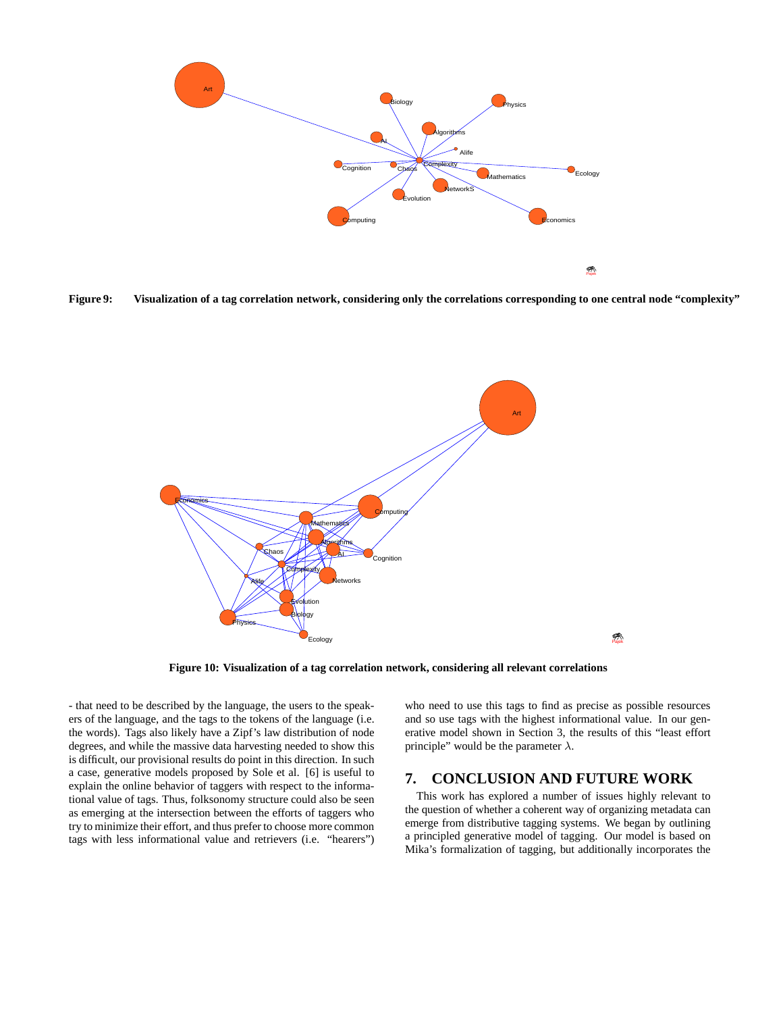

**Figure 9: Visualization of a tag correlation network, considering only the correlations corresponding to one central node "complexity"**



**Figure 10: Visualization of a tag correlation network, considering all relevant correlations**

- that need to be described by the language, the users to the speakers of the language, and the tags to the tokens of the language (i.e. the words). Tags also likely have a Zipf's law distribution of node degrees, and while the massive data harvesting needed to show this is difficult, our provisional results do point in this direction. In such a case, generative models proposed by Sole et al. [6] is useful to explain the online behavior of taggers with respect to the informational value of tags. Thus, folksonomy structure could also be seen as emerging at the intersection between the efforts of taggers who try to minimize their effort, and thus prefer to choose more common tags with less informational value and retrievers (i.e. "hearers") who need to use this tags to find as precise as possible resources and so use tags with the highest informational value. In our generative model shown in Section 3, the results of this "least effort principle" would be the parameter  $\lambda$ .

#### **7. CONCLUSION AND FUTURE WORK**

This work has explored a number of issues highly relevant to the question of whether a coherent way of organizing metadata can emerge from distributive tagging systems. We began by outlining a principled generative model of tagging. Our model is based on Mika's formalization of tagging, but additionally incorporates the